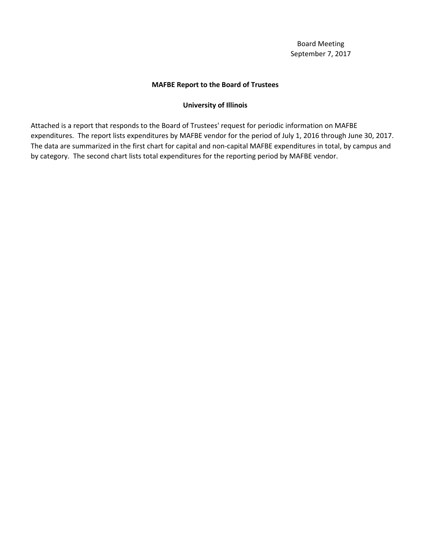# **MAFBE Report to the Board of Trustees**

# **University of Illinois**

Attached is a report that responds to the Board of Trustees' request for periodic information on MAFBE expenditures. The report lists expenditures by MAFBE vendor for the period of July 1, 2016 through June 30, 2017. The data are summarized in the first chart for capital and non-capital MAFBE expenditures in total, by campus and by category. The second chart lists total expenditures for the reporting period by MAFBE vendor.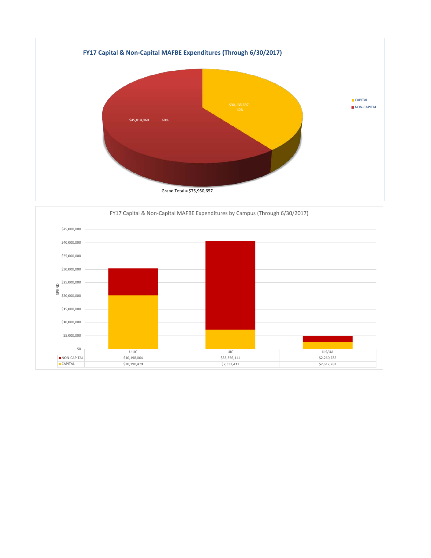

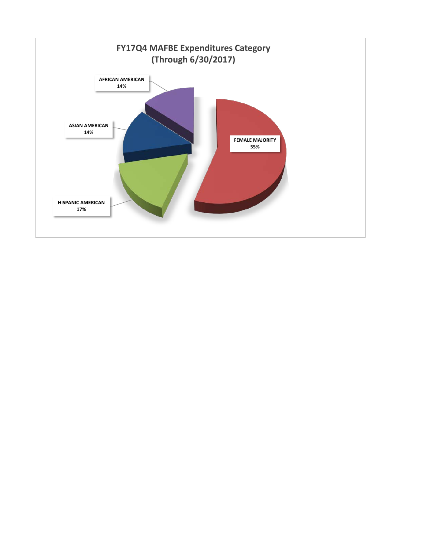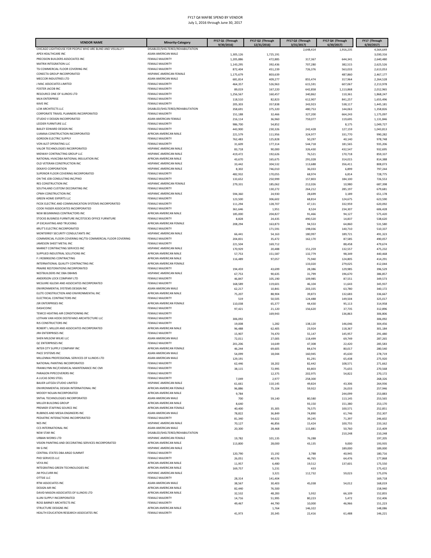| <b>VENDOR NAME</b>                                                                           | Minority-Category                                | FY17 Q1 (Through     | FY17 Q2 (Through   | FY17 Q3 (Through       | FY17 Q4 (Through       | FY17 (Through<br>6/30/2017 |
|----------------------------------------------------------------------------------------------|--------------------------------------------------|----------------------|--------------------|------------------------|------------------------|----------------------------|
| CHICAGO LIGHTHOUSE FOR PEOPLE WHO ARE BLIND AND VISUALLY                                     | DISABLED/SHELTERED/REHABILITATION                | 9/30/2016)           | 12/31/2016)        | 3/31/2017<br>2,648,414 | 6/30/2017<br>1,916,235 | 4,564,649                  |
| APEX HEALTHCARE INC                                                                          | ASIAN AMERICAN MALE                              | 1,305,126            | 1,725,191          |                        |                        | 3,030,316                  |
| PRECISION BUILDERS ASSOCIATES INC                                                            | FEMALE MAJORITY                                  | 1,205,886            | 472,885            | 317,367                | 644,341                | 2,640,480                  |
| <b>MATRIX INTEGRATION LLC</b>                                                                | <b>FEMALE MAJORITY</b>                           | 1,143,295            | 392,436            | 707,280                | 382,515                | 2,625,526                  |
| TSI COMMERCIAL FLOOR COVERING INC                                                            | <b>FEMALE MAJORITY</b>                           | 872,404              | 451,239            | 726,376                | 563,033                | 2,613,053                  |
| CONECTA GROUP INCORPORATED<br>MECCOR INDUSTRIES LTD                                          | HISPANIC AMERICAN FEMALE<br>ASIAN AMERICAN MALE  | 1,175,679<br>681,814 | 803,639<br>409,277 | 855,474                | 487,860<br>317,964     | 2,467,177<br>2,264,528     |
| J MAC ASSOCIATES LIMITED                                                                     | <b>FEMALE MAJORITY</b>                           | 464,357              | 526,963            | 615,591                | 607,067                | 2,213,978                  |
| <b>FOSTER JACOB INC</b>                                                                      | <b>FEMALE MAJORITY</b>                           | 89,019               | 167,220            | 642,858                | 1,113,868              | 2,012,965                  |
| RESOURCE ONE OF ILLINOIS LTD                                                                 | <b>FEMALE MAJORITY</b>                           | 1,256,567            | 160,457            | 340,862                | 110,361                | 1,868,247                  |
| <b>MLN ENTERPRISE</b>                                                                        | <b>FEMALE MAJORITY</b>                           | 118,510              | 82,823             | 612,907                | 841,257                | 1,655,496                  |
| <b>KAVE INC</b>                                                                              | <b>FEMALE MAJORITY</b>                           | 205,303              | 357,838            | 343,923                | 538,117                | 1,445,181                  |
| LCM ARCHITECTS LLC                                                                           | DISABLED/SHELTERED/REHABILITATION                | 358,691              | 375,320            | 480,753                | 144,063                | 1,358,826                  |
| CORPORATE TRAVEL PLANNERS INCORPORATED<br>STUDIO V DESIGN INCORPORATED                       | FEMALE MAJORITY<br>ASIAN AMERICAN FEMALE         | 151,188              | 32,466             | 327,200                | 664,243                | 1,175,097                  |
| LEEDER FURNITURE LLC                                                                         | <b>FEMALE MAJORITY</b>                           | 216,114<br>986,700   | 36,960<br>54,852   | 759,077                | 119,695<br>8,175       | 1,131,846<br>1,049,727     |
| BAILEY EDWARD DESIGN INC                                                                     | FEMALE MAJORITY                                  | 443,900              | 230,326            | 242,428                | 127,159                | 1,043,813                  |
| UJAMAA CONSTRUCTION INCORPORATED                                                             | AFRICAN AMERICAN MALE                            | 221,579              | 111,956            | 324,977                | 331,770                | 990,282                    |
| <b>GORDON ELECTRIC SUPPLY</b>                                                                | <b>FEMALE MAJORITY</b>                           | 762,483              | 125,828            | 50,297                 | 40,140                 | 978,748                    |
| VON ALST OPERATING LLC                                                                       | <b>FEMALE MAJORITY</b>                           | 31,609               | 177,314            | 544,718                | 181,565                | 935,206                    |
| VALOR TECHNOLOGIES INCORPORATED                                                              | HISPANIC AMERICAN MALE                           | 83,718               | 90,000             | 326,430                | 432,547                | 932,695                    |
| MIDWAY CONTRACTING GROUP LLC<br>NATIONAL HVACDBA NATIONAL INSULATION INC                     | HISPANIC AMERICAN MALE<br>AFRICAN AMERICAN MALE  | 419,472              | 192,626            | 76,521                 | 170,718                | 859,337                    |
| OLD VETERAN CONSTRUCTION INC                                                                 | HISPANIC AMERICAN MALE                           | 43,670<br>33,442     | 165,675<br>304,532 | 291,028<br>113,688     | 314,015<br>356,411     | 814,388<br>808,073         |
| DEKAYO CORPORATION                                                                           | HISPANIC AMERICAN MALE                           | 8,302                | 746,010            | 36,033                 | 6,899                  | 797,244                    |
| SUPERIOR FLOOR COVERING INCORPORATED                                                         | <b>FEMALE MAJORITY</b>                           | 482,932              | 170,055            | 68,974                 | 6,814                  | 728,775                    |
| ON THE JOB CONSULTING INC/PIXO                                                               | <b>FEMALE MAJORITY</b>                           | 133,652              | 250,999            | 157,803                | 184,100                | 726,553                    |
| RES CONSTRUCTION INC                                                                         | HISPANIC AMERICAN FEMALE                         | 279,331              | 185,062            | 212,026                | 10,980                 | 687,398                    |
| SOUTHLAND CUSTOM DECORATING INC                                                              | <b>FEMALE MAJORITY</b>                           |                      | 130,272            | 264,212                | 285,197                | 679,681                    |
| CPMH CONSTRUCTION INC                                                                        | HISPANIC AMERICAN MALE                           | 594,360              | 24,930             | 28,699                 | 3,189                  | 651,178                    |
| <b>GREEN HOME EXPERTS LLC</b>                                                                | <b>FEMALE MAJORITY</b>                           | 123,500              | 306,602            | 68,814                 | 124,675                | 623,590                    |
| FICEK ELECTRIC AND COMMUNICATION SYSTEMS INCORPORATED<br>COOK FASSER ASSOCIATES INCORPORATED | FEMALE MAJORITY<br><b>FEMALE MAJORITY</b>        | 111,294              | 128,707            | 47,131                 | 332,959                | 620,092                    |
| NEW BEGINNINGS CONTRACTORS INC                                                               | AFRICAN AMERICAN MALE                            | 361,646<br>185,000   | 1,951<br>204,827   | 8,524<br>91,466        | 234,307<br>94,127      | 606,428<br>575,420         |
| STOCKS BUSINESS FURNITURE INC/STOCKS OFFICE FURNITURE                                        | FEMALE MAJORITY                                  | 8,828                | 24,435             | 490,520                | 14,837                 | 538,620                    |
| JP EXCAVATING AND TRUCKING                                                                   | AFRICAN AMFRICAN FFMALE                          | 208,294              | 163,873            | 94,553                 | 64,860                 | 531,580                    |
| KRUT'S ELECTRIC INCORPORATED                                                                 | <b>FEMALE MAJORITY</b>                           |                      | 171,591            | 198,036                | 140,710                | 510,337                    |
| MONTERREY SECURITY CONSULTANTS INC                                                           | HISPANIC AMERICAN MALE                           | 66,441               | 54,163             | 180,997                | 189,721                | 491,323                    |
| COMMERCIAL FLOOR COVERING INC/TSI COMMERCIAL FLOOR COVERING                                  | FEMALE MAJORITY                                  | 204,831              | 35,472             | 162,170                | 87,585                 | 490,057                    |
| JAMESON SHEET METAL INC<br>MARKET CONTRACTING SERVICES INC                                   | <b>FEMALE MAJORITY</b><br>HISPANIC AMERICAN MALE | 221,504              | 169,712            |                        | 88,458                 | 479,674                    |
| SUPPLIED INDUSTRIAL SOLUTIONS INC                                                            | AFRICAN AMERICAN MALE                            | 170,929<br>57,753    | 20,488<br>151,587  | 151,259<br>132,779     | 132,557<br>98,349      | 475,232<br>440,468         |
| F J ROBINSONS CONTRACTING                                                                    | AFRICAN AMERICAN MALE                            | 116,489              | 97,057             | 75,940                 | 124,805                | 414,291                    |
| INTERNATIONAL QUALITY CONTRACTING INC                                                        | AFRICAN AMERICAN FEMALE                          |                      |                    | 133,020                | 279,025                | 412,044                    |
| PRAIRIE RESTORATIONS INCORPORATED                                                            | <b>FEMALE MAJORITY</b>                           | 194,459              | 43,699             | 28,386                 | 129,985                | 396,529                    |
| NESTBUILDERS INC DBA DBHMS                                                                   | HISPANIC AMERICAN MALE                           | 67,753               | 90,635             | 31,799                 | 196,670                | 386,857                    |
| ANDERSON LOCK COMPANY LTD                                                                    | <b>FEMALE MAJORITY</b>                           | 46,847               | 105,190            | 109,985                | 87,551                 | 349,573                    |
| MCGUIRE IGLESKI AND ASSOCIATES INCORPORATED<br>ENVIRONMENTAL SYSTEMS DESIGN INC              | <b>FEMALE MAJORITY</b><br>ASIAN AMERICAN MALE    | 168,589              | 119,601            | 46,104                 | 11,643                 | 345,937                    |
| ELETE CONSTRUCTION AND ENVIRONMENTAL INC                                                     | AFRICAN AMERICAN MALE                            | 62,217<br>75,207     | 10,841<br>88,904   | 203,335<br>39,873      | 63,780<br>132,683      | 340,172<br>336,667         |
| ELECTRICAL CONTRACTORS INC                                                                   | FEMALE MAJORITY                                  | 519                  | 50,505             | 124,488                | 149,504                | 325,017                    |
| <b>JSR ENTERPRISES INC</b>                                                                   | AFRICAN AMERICAN FEMALE                          | 110,038              | 65,377             | 44,430                 | 95,113                 | 314,958                    |
| DASHCOINC                                                                                    | <b>FEMALE MAJORITY</b>                           | 97,421               | 21,120             | 156,620                | 37,735                 | 312,896                    |
| TEMCO HEATING AIR CONDITIONING INC                                                           | <b>FEMALE MAJORITY</b>                           |                      | 169,943            |                        | 136,863                | 306,806                    |
| LOTHAN VAN HOOK DESTEFANO ARCHITECTURE LLC                                                   | <b>FEMALE MAJORITY</b>                           | 306,092              |                    |                        |                        | 306,092                    |
| RJS CONSTRUCTORS INC                                                                         | <b>FEMALE MAJORITY</b>                           | 19,008               | 1,282              | 138,120                | 146,046                | 304,456                    |
| ROBERT L MILLER AND ASSOCIATES INCORPORATED<br>JRH ENTERPRISES INC                           | AFRICAN AMERICAN MALE<br><b>FEMALE MAJORITY</b>  | 96,488               | 62,405             | 23,924                 | 118,367                | 301,184                    |
| SHEN MILSOM WILKE LLC                                                                        | ASIAN AMERICAN MALE                              | 15,907               | 74,470             | 55,147                 | 145,957                | 291,480                    |
| <b>QC ENTERPRISES INC</b>                                                                    | FEMALE MAJORITY                                  | 72,011<br>201,206    | 27,005<br>14,649   | 118,499<br>47,308      | 69,749<br>22,420       | 287,265<br>285,583         |
| INTER CITY SUPPLY COMPANY INC                                                                | AFRICAN AMERICAN FEMALE                          | 46,244               | 69,605             | 84,674                 | 80,017                 | 280,540                    |
| PACE SYSTEMS INC.                                                                            | ASIAN AMERICAN MALE                              | 54,09                | 18,044             | 160,945                | 45,63                  | 278,719                    |
| MILLENNIA PROFESSIONAL SERVICES OF ILLINOIS LTD                                              | ASIAN AMERICAN MALE                              | 129,191              |                    | 81,291                 | 65,438                 | 275,920                    |
| NATIONAL PAINTING INCORPORATED                                                               | FEMALE MAJORITY                                  | 62,446               | 18,202             | 82,442                 | 108,571                | 271,662                    |
| FRANKLYNN INC/CHEMICAL MAINTENANCE INC CMI                                                   | <b>FEMALE MAJORITY</b>                           | 38,115               | 72,995             | 83,803                 | 75,655                 | 270,568                    |
| PARAGON PIPECOVERERS INC<br>A LUCAS SONS STEEL                                               | <b>FEMALE MAJORITY</b><br>FEMALE MAJORITY        |                      | 12,375             | 202,975                | 54,822                 | 270,172                    |
| BAUER LATOZA STUDIO LIMITED                                                                  | HISPANIC AMERICAN MALE                           | 7,049<br>61,661      | 2,977<br>110,145   | 258,300<br>49,824      | 43,306                 | 268,326<br>264,936         |
| ENVIRONMENTAL DESIGN INTERNATIONAL INC                                                       | AFRICAN AMERICAN FEMALE                          | 96,886               | 75,104             | 59,922                 | 26,033                 | 257,946                    |
| MOODY NOLAN INCORPORATED                                                                     | AFRICAN AMERICAN MALE                            | 9,784                |                    |                        | 244,099                | 253,883                    |
| SNTIAL TECHNOLOGIES INCORPORATED                                                             | ASIAN AMERICAN MALE                              | 700                  | 59,140             | 80,580                 | 113,145                | 253,565                    |
| MILLER BUILDING GROUP                                                                        | AFRICAN AMERICAN MALE                            | 8,640                |                    | 93,150                 | 151,380                | 253,170                    |
| PREMIER STAFFING SOURCE INC                                                                  | AFRICAN AMERICAN FEMALE                          | 40,400               | 35,305             | 76,575                 | 100,571                | 252,851                    |
| RUBINOS AND MESIA ENGINEERS INC<br>PEDIATRIC INTERACTIONS INCORPORATED                       | ASIAN AMERICAN MALE<br><b>FEMALE MAJORITY</b>    | 78,822               | 36,849             | 74,890                 | 61,746                 | 252,307                    |
| <b>NES INC</b>                                                                               | HISPANIC AMERICAN MALE                           | 81,340               | 54,622             | 39,245                 | 71,397                 | 246,602                    |
| CCS INTERNATIONAL INC                                                                        | ASIAN AMERICAN MALE                              | 70,127<br>20,300     | 46,856<br>28,468   | 15,424<br>115,881      | 100,755<br>50,760      | 233,162<br>215,409         |
| <b>NEW STAR INC</b>                                                                          | DISABLED/SHELTERED/REHABILITATION                |                      |                    |                        | 210,248                | 210,248                    |
| <b>URBAN WORKS LTD</b>                                                                       | HISPANIC AMERICAN FEMALE                         | 19,782               | 101,135            | 76,288                 |                        | 197,205                    |
| VISION PAINTING AND DECORATING SERVICES INCORPORATED                                         | AFRICAN AMERICAN MALE                            | 113,800              | 28,000             | 43,135                 | 9,000                  | 193,935                    |
| IW G INC                                                                                     | HISPANIC AMERICAN MALE                           |                      |                    |                        | 189,000                | 189,000                    |
| CENTRAL STATES DBA ARGO SUMMIT                                                               | FEMALE MAJORITY                                  | 120,790              | 15,192             | 3,788                  | 40,945                 | 180,716                    |
| PHD SERVICES LLC<br><b>VEYA INC</b>                                                          | <b>FEMALE MAJORITY</b><br>AFRICAN AMERICAN MALE  | 26,051               | 40,576             | 46,765                 | 64,476                 | 177,868                    |
| INTEGRATING GREEN TECHNOLOGIES INC                                                           | AFRICAN AMERICAN MALE                            | 11,957<br>169,757    | 6,480<br>5,231     | 19,512<br>433          | 137,601                | 175,550<br>175,422         |
| <b>JM POLCURR INC</b>                                                                        | HISPANIC AMERICAN MALE                           |                      | 3,321              | 112,732                | 59,023                 | 175,076                    |
| OTTSIE LLC                                                                                   | <b>FEMALE MAJORITY</b>                           | 28,314               | 141,404            |                        |                        | 169,718                    |
| RTM ASSOCIATES INC                                                                           | ASIAN AMERICAN MALE                              | 38,567               | 30,403             | 45,038                 | 54,012                 | 168,019                    |
| DESIGN AIR INC                                                                               | AFRICAN AMERICAN MALE                            | 82,440               | 76,500             |                        |                        | 158,940                    |
| DAVID MASON ASSOCIATES OF ILLINOIS LTD                                                       |                                                  |                      |                    |                        |                        |                            |
| ILLINI SUPPLY INCORPORATED                                                                   | AFRICAN AMERICAN MALE                            | 32,532               | 48,283             | 5,932                  | 66,109                 | 152,855                    |
|                                                                                              | <b>FEMALE MAJORITY</b>                           | 14,716               | 51,995             | 80,223                 | 5,472                  | 152,406                    |
| ROSS BARNEY ARCHITECTS INC<br><b>STRUCTURE DESIGNS INC</b>                                   | FEMALE MAJORITY<br>AFRICAN AMERICAN MALE         | 49,467               | 44,790<br>1,764    | 10,000<br>146,322      | 46,966                 | 151,223<br>148,086         |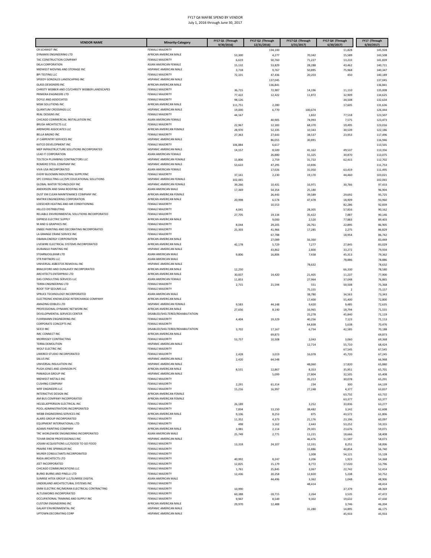| <b>VENDOR NAME</b>                                                 | <b>Minority-Category</b>                          | FY17 Q1 (Through  | FY17 Q2 (Through<br>12/31/2016) | FY17 Q3 (Through<br>3/31/2017) | FY17 Q4 (Through<br>6/30/2017 | FY17 (Through<br>6/30/2017 |
|--------------------------------------------------------------------|---------------------------------------------------|-------------------|---------------------------------|--------------------------------|-------------------------------|----------------------------|
| CR SCHMIDT INC                                                     | FEMALE MAJORITY                                   | 9/30/2016         | 134,100                         |                                | 11,828                        | 145,928                    |
| DYNAMIX ENGINEERING LTD                                            | AFRICAN AMERICAN MALE                             | 53,300            | 4,277                           | 70,342                         | 15,589                        | 143,508                    |
| TAC CONSTRUCTION COMPANY                                           | <b>FEMALE MAJORITY</b>                            | 6,619             | 50,760                          | 71,227                         | 13,233                        | 141,839                    |
| <b>EKLA CORPORATION</b>                                            | ASIAN AMERICAN FEMALE                             | 15,132            | 53,829                          | 28,288                         | 43,462                        | 140,711                    |
| MIDWEST MOVING AND STORAGE INC                                     | HISPANIC AMERICAN MALE                            | 3,718             | 9,767                           | 50,895                         | 75,968                        | 140,347                    |
| <b>BPI TESTING LLC</b>                                             | FEMALE MAJORITY                                   | 72,101            | 47,436                          | 20,203                         | 450                           | 140,189                    |
| SPEEDY GONZALES LANDSCAPING INC<br><b>GLASS DESIGNERS INC</b>      | HISPANIC AMERICAN MALE<br>AFRICAN AMERICAN MALE   |                   | 137,045                         |                                |                               | 137,045                    |
| CHRISTY WEBBER AND CO/CHRISTY WEBBER LANDSCAPES                    | <b>FEMALE MAJORITY</b>                            | 36,715            | 136,841<br>72,987               | 14,196                         | 11,110                        | 136,841<br>135,008         |
| PRIMERA ENGINEERS LTD                                              | FEMALE MAJORITY                                   | 77,422            | 12,422                          | 11,872                         | 32,909                        | 134,625                    |
| DOYLE AND ASSOCIATES                                               | <b>FEMALE MAJORITY</b>                            | 98,126            |                                 |                                | 34,508                        | 132,634                    |
| MSM SOLUTIONS INC                                                  | AFRICAN AMERICAN MALE                             | 111,751           | 2,280                           |                                | 17,605                        | 131,636                    |
| <b>QUANTUM CROSSINGS LLC</b>                                       | HISPANIC AMERICAN MALE                            | 19,000            | 6,770                           | 100,674                        |                               | 126,444                    |
| REAL DESIGNS INC                                                   | FEMALE MAJORITY                                   | 44,167            |                                 | 1,822                          | 77,518                        | 123,507                    |
| CHICAGO COMMERCIAL INSTALLATION INC                                | ASIAN AMERICAN FEMALE                             |                   | 40,905                          | 74,993                         | 7,575                         | 123,473                    |
| <b>BRUSH ARCHITECTS LLC</b><br>ARDMORE ASSOCIATES LLC              | <b>FEMALE MAJORITY</b><br>AFRICAN AMERICAN FEMALE | 22,967            | 12,183                          | 68,370                         | 19,495                        | 123,016                    |
| <b>BELLA BAGNO INC</b>                                             | FEMALE MAJORITY                                   | 28,970<br>27,363  | 52,335<br>27,643                | 10,343<br>38,537               | 30,539<br>23,953              | 122,186<br>117,496         |
| JF CARPENTRY SERVICES INC                                          | HISPANIC AMERICAN MALE                            |                   | 86,055                          | 30,891                         |                               | 116,946                    |
| KATCO DEVELOPMENT INC                                              | <b>FEMALE MAJORITY</b>                            | 106,884           | 6,617                           |                                |                               | 113,501                    |
| MEP INFRASTRUCTURE SOLUTIONS INCORPORATED                          | HISPANIC AMERICAN MALE                            | 14,157            | 8,500                           | 41,162                         | 49,537                        | 113,356                    |
| LEAD IT CORPORATION                                                | ASIAN AMERICAN FEMALE                             |                   | 26,880                          | 55,325                         | 30,870                        | 113,075                    |
| TOLTECH PLUMBING CONTRACTORS LLC                                   | HISPANIC AMERICAN FEMALE                          | 15,806            | 2,759                           | 31,722                         | 62,415                        | 112,702                    |
| ROMERO STEEL COMPANY INC                                           | HISPANIC AMERICAN MALE                            | 53,622            | 47,295                          | 10,836                         |                               | 111,753                    |
| VIVA USA INCORPORATED<br>EVERY BLOOMIN INDUSTRIAL SUPPLYINC        | ASIAN AMERICAN FEMALE<br><b>FEMALE MAJORITY</b>   |                   | 17,026                          | 31,050                         | 63,419                        | 111,495                    |
| SPC CONSULTING LLC/SPC EDUCATIONAL SOLUTIONS                       | HISPANIC AMERICAN FEMALE                          | 37,161<br>102,065 | 2,230                           | 19,170                         | 44,460                        | 103,021<br>102,065         |
| GLOBAL WATER TECHNOLOGY INC                                        | HISPANIC AMERICAN FEMALE                          | 39,266            | 10,431                          | 16,971                         | 30,766                        | 97,433                     |
| ANDERSON AND SHAH ROOFING INC                                      | ASIAN AMERICAN MALE                               | 17,369            | 54,354                          | 25,180                         |                               | 96,904                     |
| DUST EM CLEAN MAINTENANCE COMPANY INC                              | AFRICAN AMERICAN FEMALE                           |                   | 26,443                          | 39,589                         | 29,692                        | 95,725                     |
| MATRIX ENGINEERING CORPORATION                                     | AFRICAN AMERICAN MALE                             | 20,998            | 6,574                           | 47,478                         | 18,909                        | 93,960                     |
| LOESCHER HEATING AND AIR CONDITIONING                              | FEMALE MAJORITY                                   |                   | 10,553                          |                                | 82,286                        | 92,839                     |
| HILLCO DISTRIBUTING                                                | <b>FEMALE MAJORITY</b>                            | 4,041             |                                 | 28,305                         | 57,816                        | 90,162                     |
| RELIABLE ENVIRONMENTAL SOLUTIONS INCORPORATED                      | <b>FEMALE MAJORITY</b>                            | 27,705            | 19,134                          | 35,422                         | 7,887                         | 90,146                     |
| <b>EXPRESS ELECTRIC SUPPLY</b>                                     | AFRICAN AMERICAN MALE                             |                   | 9,000                           | 2,520                          | 77,883                        | 89,403                     |
| M AND G GRAPHICS INC<br>ENBEE PAINTING AND DECORATING INCORPORATED | FEMALE MAJORITY<br>FEMALE MAJORITY                | 8,044             | 29,205                          | 26,761                         | 22,895                        | 86,905                     |
| LA GRANGE CRANE SERVICE INC                                        | <b>FEMALE MAJORITY</b>                            | 25,303            | 41,966                          | 17,285                         | 2,275<br>18,954               | 86,829<br>86,742           |
| OBAMA ENERGY CORPORATION                                           | AFRICAN AMERICAN MALE                             |                   | 67,788<br>27,089                | 56,360                         |                               | 83,449                     |
| LIVEWIRE ELECTRICAL SYSTEMS INCORPORATED                           | AFRICAN AMERICAN MALE                             | 42,178            | 5,729                           | 7,277                          | 27,845                        | 83,029                     |
| DURANGO PAINTING INC                                               | HISPANIC AMERICAN MALE                            |                   | 43,862                          | 2,800                          | 33,272                        | 79,934                     |
| STEARNJOGLEKAR LTD                                                 | ASIAN AMERICAN MALE                               | 9,806             | 16,806                          | 7,438                          | 45,313                        | 79,362                     |
| STR PARTNERS LLC                                                   | ASIAN AMERICAN MALE                               |                   |                                 |                                | 78,886                        | 78,886                     |
| UNIVERSAL ASBESTOS REMOVAL INC                                     | HISPANIC AMERICAN MALE                            |                   |                                 | 78,632                         |                               | 78,632                     |
| BRAILSFORD AND DUNLAVEY INCORPORATED                               | AFRICAN AMERICAN MALE                             | 12,250            |                                 |                                | 66,330                        | 78,580                     |
| ARCHITECTS ENTERPRISE LTD<br>DAS CONSULTING SERVICES LLC           | AFRICAN AMERICAN MALE<br>ASIAN AMERICAN FEMALE    | 30,837            | 14,420                          | 21,405                         | 11,237                        | 77,900                     |
| <b>TERRA ENGINEERING LTD</b>                                       | FEMALE MAJORITY                                   | 11,853<br>2,715   | 21,594                          | 27,964<br>551                  | 37,048<br>50,508              | 76,865<br>75,368           |
| ROOF TOP SEDUMS LLC                                                | FEMALE MAJORITY                                   |                   |                                 | 75,155                         | $\overline{2}$                | 75,157                     |
| SPRUCE TECHNOLOGY INCORPORATED                                     | ASIAN AMERICAN MALE                               |                   |                                 | 38,780                         | 34,563                        | 73,343                     |
| ELECTRONIC KNOWLEDGE INTERCHANGE COMPANY                           | AFRICAN AMERICAN MALE                             |                   |                                 | 17,400                         | 55,400                        | 72,800                     |
| AMAZING EDIBLES LTD                                                | HISPANIC AMERICAN FEMALE                          | 9,583             | 44,148                          | 9,420                          | 9,485                         | 72,635                     |
| PROFESSIONAL DYNAMIC NETWORK INC                                   | AFRICAN AMERICAN MALE                             | 27,656            | 8,140                           | 16,965                         | 18,794                        | 71,555                     |
| DEVELOPMENTAL SERVICES CENTER                                      | DISABLED/SHELTERED/REHABILITATION                 |                   |                                 | 25,278                         | 45,840                        | 71,119                     |
| FUHRMANN ENGINEERING INC<br><b>CORPORATE CONCEPTS INC</b>          | <b>FEMALE MAJORITY</b><br>FEMALE MAJORITY         | 4,404             | 19,329                          | 40,256                         | 7,123                         | 71,113                     |
| SEICO INC                                                          | DISABLED/SHELTERED/REHABILITATION                 |                   |                                 | 64,838                         | 5,638<br>42,585               | 70,476                     |
| IMC CONNECT INC                                                    | AFRICAN AMERICAN MALE                             | 3,702             | 17,167<br>69,873                | 6,734                          |                               | 70,188<br>69,873           |
| MORRISSEY CONTRACTING                                              | <b>FEMALE MAJORITY</b>                            | 53,757            | 10,508                          | 2,043                          | 3,060                         | 69,368                     |
| <b>TERRA DEMOLITION</b>                                            | HISPANIC AMERICAN MALE                            |                   |                                 | 12,714                         | 55,710                        | 68,424                     |
| WOLF ELECTRIC INC                                                  | FEMALE MAJORITY                                   |                   |                                 |                                | 67,545                        | 67,545                     |
| LIMERED STUDIO INCORPORATED                                        |                                                   | 2,428             | 3,019                           | 16,078                         | 45,720                        | 67,245                     |
| SALUS INC                                                          | HISPANIC AMERICAN MALE                            | 2,420             | 64,548                          |                                |                               | 66,968                     |
| UNIVERSAL INSULATION INC                                           | HISPANIC AMERICAN MALE<br>AFRICAN AMERICAN MALE   |                   |                                 | 48,060                         | 17,820                        | 65,880                     |
| PUGH JONES AND JOHNSON PC<br>PANIAGUA GROUP INC                    | HISPANIC AMERICAN MALE                            | 8,531             | 12,867<br>5,099                 | 8,353<br>27,804                | 35,951<br>32,505              | 65,701<br>65,408           |
| MIDWEST METALS INC                                                 | FEMALE MAJORITY                                   |                   |                                 | 35,213                         | 30,078                        | 65,291                     |
| <b>CUSHING COMPANY</b>                                             | <b>FEMALE MAJORITY</b>                            | 2,291             | 61,314                          | 234                            | 300                           | 64,139                     |
| WRF ENGINEERS LLC                                                  | <b>FEMALE MAJORITY</b>                            | 15,216            | 16,997                          | 27,248                         | 4,377                         | 63,837                     |
| INTERACTIVE DESIGN INC                                             | AFRICAN AMERICAN FEMALE                           |                   |                                 |                                | 63,732                        | 63,732                     |
| AM BUS COMPANY INCORPORATED                                        | AFRICAN AMERICAN FEMALE                           |                   |                                 |                                | 63,377                        | 63,377                     |
| HELSELJEPPERSON ELECTRICAL INC                                     | FEMALE MAJORITY                                   | 26,189            |                                 | 3,252                          | 33,836                        | 63,277                     |
| POOL ADMINISTRATORS INCORPORATED<br>WEBB ENGINEERING SERVICES INC  | FEMALE MAJORITY<br>AFRICAN AMERICAN MALE          | 7,834             | 13,150                          | 38,482                         | 3,142                         | 62,608                     |
| ALARIS GROUP INCORPORATED                                          | FEMALE MAJORITY                                   | 9,106<br>11,352   | 8,253<br>4,373                  | 875<br>21,176                  | 43,572<br>23,196              | 61,806<br>60,097           |
| EQUIPMENT INTERNATIONAL LTD                                        | FEMALE MAJORITY                                   | 498               | 3,162                           | 2,443                          | 53,252                        | 59,355                     |
| ADAMS PAINTING COMPANY                                             | AFRICAN AMERICAN MALE                             | 3,981             | 2,114                           | 29,301                         | 23,676                        | 59,071                     |
| TRC WORLDWIDE ENGINEERING INCORPORATED                             | ASIAN AMERICAN MALE                               | 25,749            | 2,771                           | 11,221                         | 18,666                        | 58,408                     |
| TOVAR SNOW PROFESSIONALS INC                                       | HISPANIC AMERICAN MALE                            |                   |                                 | 46,476                         | 11,597                        | 58,073                     |
| JOSAM ACQUISITIONS LLC/GOOD TO GO FOOD                             | FEMALE MAJORITY                                   | 13,318            | 24,107                          | 12,331                         | 8,251                         | 58,006                     |
| PRAIRIE FIRE SPRINKLER INC                                         | FEMALE MAJORITY                                   |                   |                                 | 15,886                         | 40,854                        | 56,740                     |
| MURER CONSULTANTS INCORPORATED                                     | <b>FEMALE MAJORITY</b>                            |                   |                                 | 1,008                          | 54,121                        | 55,128                     |
| RADA ARCHITECTS LTD<br>JEET INCORPORATED                           | <b>FEMALE MAJORITY</b><br>FEMALE MAJORITY         | 40,992            | 8,247                           | 3,206                          | 1,923                         | 54,368                     |
| CHICAGO COMMUNICATIONS LLC                                         | FEMALE MAJORITY                                   | 12,825<br>1,761   | 15,179<br>25,845                | 8,772<br>2,067                 | 17,020<br>22,742              | 53,796<br>52,414           |
| BURKE BURNS AND PINELLI LTD                                        | <b>FEMALE MAJORITY</b>                            | 12,436            | 20,258                          | 12,820                         | 5,238                         | 50,752                     |
| SUNRISE HITEK GROUP LLC/SUNRISE DIGITAL                            | ASIAN AMERICAN MALE                               |                   | 44,496                          | 3,362                          | 1,048                         | 48,906                     |
| UNDERLAND ARCHITECTURAL SYSTEMS INC                                | FEMALE MAJORITY                                   |                   |                                 | 48,414                         |                               | 48,414                     |
| EMM ELECTRIC INC/MORAN ELECTRICAL CONTRACTING                      | <b>FEMALE MAJORITY</b>                            | 10,990            |                                 |                                | 37,379                        | 48,369                     |
| ALTUSWORKS INCORPORATED                                            | FEMALE MAJORITY                                   | 60,388            | $-18,715$                       | 2,264                          | 3,535                         | 47,472                     |
| OCCUPATIONAL TRAINING AND SUPPLY INC                               | FEMALE MAJORITY                                   | 9,947             | 8,549                           | 9,302                          | 19,632                        | 47,430                     |
| <b>CUSTOM ENGINEERING INC</b>                                      | AFRICAN AMERICAN MALE                             | 29,970            | 12,488                          |                                | 3,746                         | 46,204                     |
| GALAXY ENVIRONMENTAL INC<br>UPTOWN DECORATING CORP                 | HISPANIC AMERICAN MALE<br>HISPANIC AMERICAN MALE  |                   |                                 | 31,280                         | 14,895                        | 46,175                     |
|                                                                    |                                                   |                   |                                 |                                | 45,933                        | 45,933                     |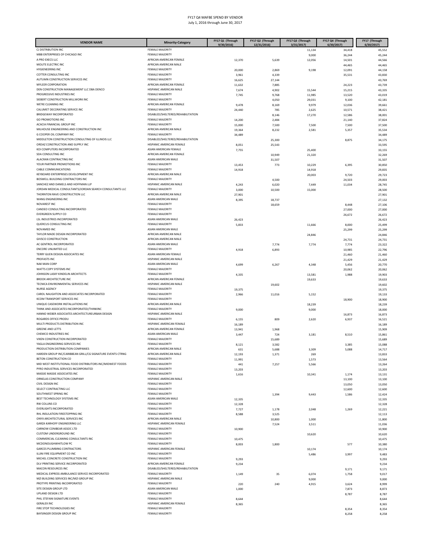| <b>VENDOR NAME</b>                                                                  | <b>Minority-Category</b>                          | FY17 Q1 (Through | FY17 Q2 (Through | FY17 Q3 (Through     | FY17 Q4 (Through    | FY17 (Through<br>6/30/2017 |
|-------------------------------------------------------------------------------------|---------------------------------------------------|------------------|------------------|----------------------|---------------------|----------------------------|
| CJ DISTRIBUTION INC                                                                 | <b>FEMALE MAJORITY</b>                            | 9/30/2016        | 12/31/2016)      | 3/31/2017)<br>11,134 | 6/30/2017<br>34,418 | 45,552                     |
| MBB ENTERPRISES OF CHICAGO INC                                                      | FEMALE MAJORITY                                   |                  |                  | 9,000                | 36,244              | 45,244                     |
| A PRO EXECS LLC                                                                     | AFRICAN AMERICAN FEMALE                           | 12,370           | 5,639            | 12,056               | 14,501              | 44,566                     |
| MOLITE ELECTRIC INC                                                                 | AFRICAN AMERICAN MALE                             |                  |                  |                      | 44,465              | 44,465                     |
| <b>HYGIENEERING INC</b>                                                             | FEMALE MAJORITY                                   | 20,000           | 2,869            | 9,198                | 12,091              | 44,158                     |
| COTTER CONSULTING INC<br>AUTUMN CONSTRUCTION SERVICES INC                           | FEMALE MAJORITY<br>FEMALE MAJORITY                | 3,961<br>16,625  | 4,339<br>27,144  |                      | 35,531              | 43,830<br>43,769           |
| <b>MYLEER CORPORATION</b>                                                           | AFRICAN AMERICAN FEMALE                           | 11,632           | 7,885            |                      | 24,223              | 43,739                     |
| DEN CONSTRUCTION MANAGEMENT LLC DBA DENCO                                           | HISPANIC AMERICAN MALE                            | 7,674            | 4,902            | 15,544               | 15,215              | 43,335                     |
| PROGRESSIVE INDUSTRIES INC                                                          | FEMALE MAJORITY                                   | 7,745            | 9,768            | 11,985               | 13,520              | 43,019                     |
| SIEBERT CONSTRUCTION MILLWORK INC                                                   | FEMALE MAJORITY                                   |                  | 4,050            | 29,031               | 9,100               | 42,181                     |
| WE'RE CLEANING INC                                                                  | AFRICAN AMERICAN FEMALE<br>FEMALE MAJORITY        | 9,478            | 8,169            | 9,979                | 12,036              | 39,661                     |
| CALUMET DECORATING SERVICE INC<br>BRIDGEWAY INCORPORATED                            | DISABLED/SHELTERED/REHABILITATION                 | 24,440           | 785              | 2,625                | 10,571              | 38,421                     |
| <b>GO PROMOTIONS INC</b>                                                            | FEMALE MAJORITY                                   | 14,200           | 8,146<br>2,484   | 17,270               | 12,586<br>21,140    | 38,001<br>37,824           |
| ACACIA FINANCIAL GROUP INC                                                          | <b>FEMALE MAJORITY</b>                            | 15,000           | 7,500            | 7,500                | 7,500               | 37,500                     |
| MILHOUSE ENGINEERING AND CONSTRUCTION INC                                           | AFRICAN AMERICAN MALE                             | 19,364           | 8,232            | 2,581                | 5,357               | 35,534                     |
| G COOPER OIL COMPANY INC                                                            | FEMALE MAJORITY                                   | 34,489           |                  |                      |                     | 34,489                     |
| MIDDLETON CONSTRUCTION CONSULTING OF ILLINOIS LLC                                   | DISABLED/SHELTERED/REHABILITATION                 |                  | 25,300           |                      | 8,875               | 34,175                     |
| ORDAZ CONSTRUCTION AND SUPPLY INC<br>KOI COMPUTERS INCORPORATED                     | HISPANIC AMERICAN FEMALE<br>ASIAN AMERICAN FEMALE | 8,051<br>7,755   | 25,543           | 25,400               |                     | 33,595<br>33,155           |
| SDA CONSULTING INC                                                                  | AFRICAN AMERICAN FEMALE                           |                  | 10,949           | 21,320               |                     | 32,269                     |
| ALACRAN CONTRACTING INC                                                             | ASIAN AMERICAN MALE                               |                  | 31,507           |                      |                     | 31,507                     |
| YOUR PARTNER PROMOTIONS INC                                                         | FEMALE MAJORITY                                   | 13,453           | 773              | 10,229               | 6,395               | 30,850                     |
| CABLE COMMUNICATIONS                                                                | FEMALE MAJORITY                                   | 14,918           |                  | 14,918               |                     | 29,835                     |
| KEYBOARD ENTERPRISES DEVELOPMENT INC                                                | AFRICAN AMERICAN MALE                             |                  |                  | 20,003               | 9,720               | 29,723                     |
| BOSWELL BUILDING CONTRACTORS INC<br>SANCHEZ AND DANIELS AND HOFFMAN LLP             | FEMALE MAJORITY<br>HISPANIC AMERICAN MALE         | 4,243            | 4,500<br>6,020   | 7,449                | 24,503<br>11,034    | 29,003<br>28,745           |
| JORDAN MEDICAL CONSULTANTS/JORDAN SEARCH CONSULTANTS LLC                            | <b>FEMALE MAJORITY</b>                            | 3,000            | 10,500           | 15,000               |                     | 28,500                     |
| THORNTON RAVE CONSTRUCTION LLC                                                      | AFRICAN AMERICAN MALE                             | 27,901           |                  |                      |                     | 27,901                     |
| WANG ENGINEERNG INC                                                                 | ASIAN AMERICAN MALE                               | 8,395            | 18,737           |                      |                     | 27,132                     |
| NOVAREST INC                                                                        | FEMALE MAJORITY                                   |                  | 18,659           |                      | 8,448               | 27,106                     |
| CANDEO CONSULTING INCORPORATED                                                      | <b>FEMALE MAJORITY</b>                            |                  |                  |                      | 27,000              | 27,000                     |
| <b>EVERGREEN SUPPLY CO</b><br>LSL INDUSTRIES INCORPORATED                           | FEMALE MAJORITY<br>ASIAN AMERICAN MALE            | 26,423           |                  |                      | 26,672              | 26,672                     |
| QUERCUS CONSULTING INC                                                              | FEMALE MAJORITY                                   | 5,833            |                  | 11,666               | 8,000               | 26,423<br>25,499           |
| NOVAMED INC                                                                         | ASIAN AMERICAN MALE                               |                  |                  |                      | 25,299              | 25,299                     |
| TAYLOR MADE DESIGN INCORPORATED                                                     | AFRICAN AMERICAN MALE                             |                  |                  | 24,846               |                     | 24,846                     |
| <b>GIVSCO CONSTRUCTION</b>                                                          | AFRICAN AMERICAN MALE                             |                  |                  |                      | 24,731              | 24,731                     |
| AC GENTROL INCORPORATED                                                             | ASIAN AMERICAN MALE                               |                  | 7,774            | 7,774                | 7,774               | 23,322                     |
| <b>ENCORE UNLIMITED LLC</b><br>TERRY GUEN DESIGN ASSOCIATES INC                     | FEMALE MAJORITY<br>ASIAN AMERICAN FEMALE          | 4,918            | 6,893            |                      | 10,985              | 22,796                     |
| PROFASTS INC                                                                        | HISPANIC AMERICAN MALE                            |                  |                  |                      | 21,460<br>21,429    | 21,460<br>21,429           |
| <b>NAK MAN CORP</b>                                                                 | ASIAN AMERICAN MALE                               | 4,699            | 6,267            | 4,348                | 5,456               | 20,770                     |
| WATTS COPY SYSTEMS INC                                                              | FEMALE MAJORITY                                   |                  |                  |                      | 20,062              | 20,062                     |
| JOHNSON LASKY KINDELIN ARCHITECTS                                                   | FEMALE MAJORITY                                   | 4,335            |                  | 13,581               | 1,988               | 19,903                     |
| <b>BROOK ARCHITECTURE INC</b>                                                       | AFRICAN AMERICAN FEMALE                           |                  |                  | 19,633               |                     | 19,633                     |
| TECNICA ENVIRONMENTAL SERVICES INC<br>NURSE AGENCY                                  | HISPANIC AMERICAN MALE<br>FEMALE MAJORITY         |                  | 19,602           |                      |                     | 19,602                     |
| CAROL NAUGHTON AND ASSOCIATES INCORPORATED                                          | FEMALE MAJORITY                                   | 19,375<br>2,966  | 11,016           | 5,152                |                     | 19,375<br>19,133           |
| KCOM TRANSPORT SERVICES INC                                                         | FEMALE MAJORITY                                   |                  |                  |                      | 18,900              | 18,900                     |
| UNIQUE CASEWORK INSTALLATIONS INC                                                   | AFRICAN AMERICAN MALE                             |                  |                  | 18,239               |                     | 18,239                     |
| THINK AND ASSOCIATES INCORPORATED/THINKINC                                          | FEMALE MAJORITY                                   | 9,000            |                  | 9,000                |                     | 18,000                     |
| HANNO WEBER ASSOCIATES ARCHITECTUREURBAN DESIGN                                     | HISPANIC AMERICAN MALE                            |                  |                  |                      | 16,873              | 16,873                     |
| ROGARDS OFFICE PRODU<br>MULTI PRODUCTS DISTRIBUTION INC                             | FEMALE MAJORITY<br>HISPANIC AMERICAN FEMALE       | 6,155            | 809              | 2,620                | 6,937               | 16,521                     |
| <b>GREENE AND LETTS</b>                                                             | AFRICAN AMERICAN FEMALE                           | 16,189<br>13,941 | 1,968            |                      |                     | 16,189<br>15,909           |
| CHEMCO INDUSTRIES INC                                                               | ASIAN AMERICAN MALE                               | 3,447            | 724              | 3,181                | 8,510               | 15,861                     |
| VIXEN CONSTRUCTION INCORPORATED                                                     | FEMALE MAJORITY                                   |                  | 15,689           |                      |                     | 15,689                     |
| YAGLA ENGINEERING SERVICES INC                                                      | FEMALE MAJORITY                                   | 8,121            | 3,582            |                      | 3,385               | 15,088                     |
| PRODUCTION DISTRIBUTION COMPANIES                                                   | AFRICAN AMERICAN MALE                             | 631              | 5,688            | 3,309                | 5,088               | 14,717                     |
| HARDEN GROUP INC/CARIBBEAN GRILL/CG SIGNATURE EVENTS CTRNG<br>BETON CONSTRUCTION CO | AFRICAN AMERICAN MALE<br><b>FEMALE MAJORITY</b>   | 12,193           | 1,371            | 269                  |                     | 13,833                     |
| MID WEST INSTITUTIONAL FOOD DISTRIBUTORS INC/MIDWEST FOODS                          | FEMALE MAJORITY                                   | 11,991<br>441    | 7,257            | 1,573<br>5,566       |                     | 13,564<br>13,264           |
| PYRO INDUSTRIAL SERVICES INCORPORATED                                               | FEMALE MAJORITY                                   | 13,203           |                  |                      |                     | 13,203                     |
| MASSIE MASSIE ASSOCIATES INC                                                        | FEMALE MAJORITY                                   | 1,616            |                  | 10,341               | 1,174               | 13,131                     |
| ORNELAS CONSTRUCTION COMPANY                                                        | HISPANIC AMERICAN MALE                            |                  |                  |                      | 13,100              | 13,100                     |
| CIVIL DESIGN INC                                                                    | FEMALE MAJORITY                                   |                  |                  |                      | 13,050              | 13,050                     |
| SELECT CONTRACTING LLC<br>SOUTHWEST SPRING INC                                      | FEMALE MAJORITY<br>FEMALE MAJORITY                |                  | 1,394            | 9,443                | 12,600<br>1,586     | 12,600<br>12,424           |
| BEST TECHNOLOGY SYSTEMS INC                                                         | ASIAN AMERICAN MALE                               | 12,335           |                  |                      |                     | 12,335                     |
| RW COLLINS CO                                                                       | FEMALE MAJORITY                                   | 12,328           |                  |                      |                     | 12,328                     |
| <b>EVERLIGHTS INCORPORATED</b>                                                      | FEMALE MAJORITY                                   | 7,727            | 1,178            | 2,048                | 1,269               | 12,221                     |
| RHL INSULATION FIRESTOPPING INC                                                     | FEMALE MAJORITY                                   | 8,588            | 3,525            |                      |                     | 12,113                     |
| ONYX ARCHITECTURAL SERVICES INC<br>GARZA KARHOFF ENGINEERING LLC                    | AFRICAN AMERICAN MALE<br>HISPANIC AMERICAN FEMALE |                  | 10,800           | 1,000                |                     | 11,800                     |
| CARNOW CONIBEAR ASSOC LTD                                                           | FEMALE MAJORITY                                   | 10,900           | 7,524            | 3,511                |                     | 11,036<br>10,900           |
| CUSTOM UNDERGROUND INC                                                              | FEMALE MAJORITY                                   |                  |                  | 10,620               |                     | 10,620                     |
| COMMERCIAL CLEANING CONSULTANTS INC                                                 | FEMALE MAJORITY                                   | 10,475           |                  |                      |                     | 10,475                     |
| MCDONOUGHWHITLOW PC                                                                 | FEMALE MAJORITY                                   | 8,003            | 1,800            |                      | 577                 | 10,380                     |
| <b>GARCES PLUMBING CONTRACTORS</b>                                                  | HISPANIC AMERICAN FEMALE                          |                  |                  | 10,174               |                     | 10,174                     |
| ILLINI FIRE EQUIPMENT CO INC<br>MICHEL CONCRETE CONSTRUCTION INC                    | FEMALE MAJORITY<br>FEMALE MAJORITY                |                  |                  | 5,486                | 3,997               | 9,483                      |
| DLV PRINTING SERVICE INCORPORATED                                                   | AFRICAN AMERICAN FEMALE                           | 9,293<br>9,234   |                  |                      |                     | 9,293<br>9,234             |
| <b>MACON RESOURCES INC</b>                                                          | DISABLED/SHELTERED/REHABILITATION                 |                  |                  |                      | 9,171               | 9,171                      |
| MEDICAL EXPRESS AMBULANCE SERVICE INCORPORATED                                      | FEMALE MAJORITY                                   | 1,149            | 35               | 6,074                | 1,758               | 9,017                      |
| MZI BUILDING SERVICES INC/MZI GROUP INC                                             | HISPANIC AMERICAN MALE                            |                  |                  | 9,000                |                     | 9,000                      |
| PROTYPE PRINTING INCORPORATED                                                       | FEMALE MAJORITY                                   | 220              | 240              | 4,915                | 3,624               | 8.999                      |
| SITE DESIGN GROUP LTD<br>UPLAND DESIGN LTD                                          | ASIAN AMERICAN MALE<br>FEMALE MAJORITY            | 1,000            |                  |                      | 7,873               | 8,873                      |
| PHIL STEFANI SIGNATURE EVENTS                                                       | FEMALE MAJORITY                                   | 8,644            |                  |                      | 8,787               | 8,787<br>8,644             |
| <b>GERALEX INC</b>                                                                  | HISPANIC AMERICAN FEMALE                          | 8,365            |                  |                      |                     | 8,365                      |
| FIRE STOP TECHNOLOGIES INC                                                          | FEMALE MAJORITY                                   |                  |                  |                      | 8,354               | 8,354                      |
| BAYSINGER DESIGN GROUP INC                                                          | FEMALE MAJORITY                                   |                  |                  |                      | 8,258               | 8,258                      |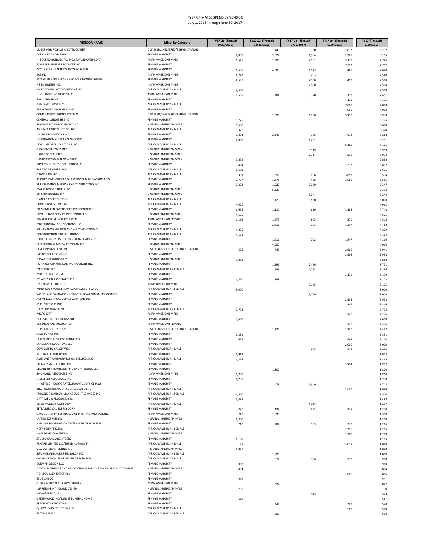| <b>VENDOR NAME</b>                                                                              | <b>Minority-Category</b>                                    | FY17 Q1 (Through | FY17 Q2 (Through     | FY17 Q3 (Through   | FY17 Q4 (Through   | FY17 (Through       |
|-------------------------------------------------------------------------------------------------|-------------------------------------------------------------|------------------|----------------------|--------------------|--------------------|---------------------|
| LESTER AND ROSALIE ANIXTER CENTER                                                               | DISABLED/SHELTERED/REHABILITATION                           | 9/30/2016)       | 12/31/2016)<br>1,440 | 3/31/2017<br>3,960 | 6/30/2017<br>2,832 | 6/30/2017)<br>8,232 |
| <b>ACTION BAG COMPANY</b>                                                                       | <b>FEMALE MAJORITY</b>                                      | 1,850            | 2,627                | 1,504              | 2,205              | 8,185               |
| HI TEK ENVIRONMENTAL INC/STAT ANALYSIS CORP                                                     | ASIAN AMERICAN MALE                                         | 1,525            | 1,000                | 2,031              | 3,170              | 7,726               |
| EXPRESS BUSINESS PRODUCTS LLC<br>ACCURATE BIOMETRICS INCORPORATED                               | <b>FEMALE MAJORITY</b><br>FEMALE MAJORITY                   |                  |                      |                    | 7,712              | 7,712               |
| <b>BCE INC</b>                                                                                  | ASIAN AMERICAN MALE                                         | 1,555<br>4,247   | 4,583                | 1,077<br>3,293     | 405                | 7,620<br>7,540      |
| EXTENDED HOME LIVING SERVICES INCORPORATED                                                      | <b>FEMALE MAJORITY</b>                                      | 4,550            |                      | 2,500              | 450                | 7,500               |
| <b>K S ENGINEERS INC</b>                                                                        | ASIAN AMERICAN MALE                                         |                  |                      | 7,500              |                    | 7,500               |
| ONYX COMMUNITY SOLUTIONS LLC<br>HUGH LIGHTING DESIGN LLC                                        | AFRICAN AMERICAN MALE<br>ASIAN AMERICAN MALE                | 7,500            |                      |                    |                    | 7,500               |
| <b>FORWARD SPACE</b>                                                                            | <b>FEMALE MAJORITY</b>                                      | 1,555            | 784                  | 3,920              | 1,192<br>7,135     | 7,451<br>7,135      |
| NEAL AND LEROY LLC                                                                              | AFRICAN AMERICAN MALE                                       |                  |                      |                    | 7,088              | 7,088               |
| EVERYTHING DIVISION 12 INC                                                                      | FEMALE MAJORITY                                             |                  |                      |                    | 7,000              | 7,000               |
| COMMUNITY SUPPORT SYSTEMS<br>CENTRAL ILLINOIS HSSINC                                            | DISABLED/SHELTERED/REHABILITATION<br><b>FEMALE MAJORITY</b> |                  | 1,890                | 1,890              | 3,150              | 6,930               |
| SANCHEZ PAVING COMPANY INC                                                                      | HISPANIC AMERICAN MALE                                      | 6,775<br>6,680   |                      |                    |                    | 6,775<br>6,680      |
| ASHLAUR CONSTRUCTION INC                                                                        | AFRICAN AMERICAN MALE                                       | 6,320            |                      |                    |                    | 6,320               |
| <b>LINIEN PROMOTIONS INC</b>                                                                    | <b>FEMALE MAJORITY</b>                                      | 2,894            | 2,345                | 366                | 678                | 6,282               |
| INTERNATIONAL TEST BALANCE INC                                                                  | <b>FEMALE MAJORITY</b>                                      | 4,800            |                      | 1,451              |                    | 6,251               |
| LEVEL1 GLOBAL SOLUTIONS LLC<br><b>GSG CONSULTANTS INC</b>                                       | AFRICAN AMERICAN MALE<br>HISPANIC AMERICAN MALE             |                  |                      |                    | 6,105              | 6,105               |
| HIGH RISE SECURITY                                                                              | HISPANIC AMERICAN MALE                                      |                  |                      | 5,919<br>1,314     | 4,599              | 5,919<br>5,913      |
| WINDY CITY MAINTENANCE INC                                                                      | HISPANIC AMERICAN MALE                                      | 5,882            |                      |                    |                    | 5,882               |
| PHOENIX BUSINESS SOLUTIONS LLC                                                                  | FEMALE MAJORITY                                             | 3,484            |                      |                    | 2,318              | 5,802               |
| TABITHA VENTURES INC                                                                            | AFRICAN AMERICAN MALE                                       | 5,601            |                      |                    |                    | 5,601               |
| <b>GRANT LAW LLC</b><br>AUDREY J WEINSTEIN DBA A WEINSTEIN AND ASSOCIATES                       | AFRICAN AMERICAN MALE<br>FEMALE MAJORITY                    | 391<br>2,737     | 696                  | 656<br>488         | 3,852              | 5,594               |
| PERFORMANCE MECHANICAL CONTRACTORS INC                                                          | FEMALE MAJORITY                                             | 2,324            | 1,275<br>1,023       | 2,000              | 1,066              | 5,566<br>5,347      |
| MAESTROS VENTURES LLC                                                                           | HISPANIC AMERICAN MALE                                      |                  | 5,333                |                    |                    | 5,333               |
| PMJ ENTERPRISES INC                                                                             | HISPANIC AMERICAN MALE                                      |                  |                      | 5,244              |                    | 5,244               |
| <b>D AND B CONSTRUCTION</b>                                                                     | AFRICAN AMERICAN MALE                                       |                  | 1,120                | 3,880              |                    | 5,000               |
| POWER ONE SUPPLY INC<br>RD MCMILLEN ENTERPRISES INCORPORATED                                    | AFRICAN AMERICAN MALE<br>FEMALE MAJORITY                    | 4,965<br>1,658   | 1,110                | 616                | 1,365              | 4,965<br>4,748      |
| ROYAL CRANE SERVICE INCORPORATED                                                                | HISPANIC AMERICAN MALE                                      | 4,625            |                      |                    |                    | 4,625               |
| CRYSTAL CHEM INCORPORATED                                                                       | ASIAN AMERICAN FEMALE                                       | 1,165            | 1,675                | 805                | 870                | 4,515               |
| MULTILINGUAL CONNECTIONS LLC                                                                    | FEMALE MAIORITY                                             |                  | 2,411                | 781                | 1,297              | 4,488               |
| FULL CANVAS HEATING AND AIR CONDITIONING<br>CONSTRUCTION CAD SOLUTIONS                          | AFRICAN AMERICAN MALE<br>AFRICAN AMERICAN MALE              | 4,279            |                      |                    |                    | 4,279               |
| DIRECTIONS UNLIMITED INC/PROMOPARTNERS                                                          | <b>FEMALE MAJORITY</b>                                      | 4,164            | 1,611                | 702                | 1,847              | 4,164<br>4,160      |
| REFLECTION WINDOW COMPANY LLC                                                                   | HISPANIC AMERICAN MALE                                      |                  | 4,000                |                    |                    | 4,000               |
| <b>LASER INNOVATIONS INC</b>                                                                    | DISABLED/SHELTERED/REHABILITATION                           | 628              | 448                  |                    | 2,865              | 3,941               |
| IMPACT SOLUTIONS INC                                                                            | <b>FEMALE MAJORITY</b>                                      |                  |                      |                    | 3,938              | 3,938               |
| NAVARETTE INDUSTRIES<br>RICHARDS GRAPHIC COMMUNICATIONS INC                                     | HISPANIC AMERICAN MALE<br>FEMALE MAJORITY                   | 3,882            |                      |                    |                    | 3,882               |
| IYA FOODS LLC                                                                                   | AFRICAN AMERICAN FEMALE                                     |                  | 1,295<br>1,599       | 2,456<br>1,738     |                    | 3,751<br>3,336      |
| MJB DECORATINGINC                                                                               | FEMALE MAJORITY                                             |                  |                      |                    | 3,139              | 3,139               |
| CYLA DESIGN ASSOCIATES INC                                                                      | <b>FEMALE MAJORITY</b>                                      | 1,860            | 1,248                |                    |                    | 3,108               |
| LIN ENGINEERING LTD                                                                             | ASIAN AMERICAN MALE                                         |                  |                      | 3,105              |                    | 3,105               |
| MIND YOUR MANNERS/WILLIAM EVERETT GROUP<br>WOODLAND VALUATION SERVICES LLC/APPRAISAL ASSOCIATES | AFRICAN AMERICAN FEMALE<br><b>FEMALE MAJORITY</b>           | 3,000            |                      | 3,000              |                    | 3,000<br>3,000      |
| ACTIVE ELECTRICAL SUPPLY COMPANY INC                                                            | <b>FEMALE MAJORITY</b>                                      |                  |                      |                    | 2,958              | 2,958               |
| <b>KSID INTERIORS INC</b>                                                                       | FEMALE MAJORITY                                             |                  |                      |                    | 2,846              | 2.846               |
| <b>DLV PRINTING SERVICE</b>                                                                     | AFRICAN AMERICAN FEMALE                                     | 2,774            |                      |                    |                    | 2,774               |
| MICRO CITY<br>STILES OFFICE SOLUTIONS INC                                                       | ASIAN AMERICAN MALE<br>FEMALE MAJORITY                      |                  |                      |                    | 2,700              | 2,700               |
| EC PURDY AND ASSOCIATES                                                                         | ASIAN AMERICAN FEMALE                                       | 2,600            |                      |                    | 2,500              | 2,600<br>2,500      |
| UCP LAND OF LINCOLN                                                                             | DISABLED/SHELTERED/REHABILITATION                           |                  | 1,322                |                    | 1,130              | 2,452               |
| ANZY SUPPLY INC                                                                                 | <b>FEMALE MAJORITY</b>                                      | 2,331            |                      |                    |                    | 2,331               |
| LAKE SHORE BUSINESS FORMS CO<br>LANDSCAPE SOLUTIONS LLC                                         | <b>FEMALE MAJORITY</b>                                      | 677              |                      |                    | 1,493              | 2,170               |
| BOYE JANITORIAL SERVICE                                                                         | <b>FEMALE MAJORITY</b><br>AFRICAN AMERICAN MALE             |                  |                      | 975                | 2,000<br>975       | 2,000<br>1,950      |
| AUTOMATIC DOORS INC                                                                             | <b>FEMALE MAJORITY</b>                                      | 1,913            |                      |                    |                    | 1,913               |
| AMMONS TRANSPORATATION SERVICES INC                                                             | AFRICAN AMERICAN MALE                                       | 1,865            |                      |                    |                    | 1,865               |
| PROGRESSIVE ELECTRIC INC                                                                        | <b>FEMALE MAJORITY</b>                                      |                  |                      |                    | 1,802              | 1,802               |
| ELIZABETH A BLANKENSHIP DBA BPI TESTING LLC<br>SINGH AND ASSOCIATES INC                         | FEMALE MAJORITY<br>ASIAN AMERICAN MALE                      |                  | 1,800                |                    |                    | 1,800               |
| HJKESSLER ASSOCIATES INC                                                                        | <b>FEMALE MAJORITY</b>                                      | 1,800<br>1,738   |                      |                    |                    | 1,800<br>1,738      |
| HH OFFICE INCORPORATED/ROGARDS OFFICE PLUS                                                      | FEMALE MAJORITY                                             |                  | 78                   | 1,640              |                    | 1,718               |
| THG FOODS INC/FOUR COURSES CATERING                                                             | AFRICAN AMERICAN MALE                                       |                  |                      |                    | 1,628              | 1,628               |
| RINGOLD FINANCIAL MANAGEMENT SERVICES INC                                                       | AFRICAN AMERICAN FEMALE                                     | 1,500            |                      |                    |                    | 1,500               |
| DATA MEDIA PRODUCTS INC<br>EMED MEDICAL COMPANY                                                 | FEMALE MAJORITY<br>AFRICAN AMERICAN MALE                    | 1,488            |                      |                    |                    | 1,488               |
| TETRA MEDICAL SUPPLY CORP                                                                       | FEMALE MAJORITY                                             | 330              | 123                  | 1,442<br>592       | 325                | 1,442<br>1,370      |
| GRACE ENTERPRISES INC/GRACE PRINTING AND MAILING                                                | ASIAN AMERICAN MALE                                         | 215              | 1,095                |                    |                    | 1.310               |
| <b>LATINO EXPRESS INC</b>                                                                       | HISPANIC AMERICAN MALE                                      | 1,300            |                      |                    |                    | 1,300               |
| HANSON INFORMATION SYSTEMS INCORPORATED<br>NETA SCIENTIFIC INC                                  | FEMALE MAJORITY<br>AFRICAN AMERICAN FEMALE                  | 210              | 204                  | 583                | 270                | 1,266               |
| J AVE DEVELOPMENT INC                                                                           | HISPANIC AMERICAN MALE                                      |                  |                      |                    | 1,216<br>1,200     | 1,216<br>1,200      |
| <b>STUDIO GANG ARCHITECTS</b>                                                                   | <b>FEMALE MAJORITY</b>                                      | 1,185            |                      |                    |                    | 1,185               |
| RENARD LIMITED LLC/SHRED AUTHORITY                                                              | AFRICAN AMERICAN MALE                                       | 25               |                      |                    | 1,025              | 1,050               |
| <b>GSG MATERIAL TESTING INC</b>                                                                 | HISPANIC AMERICAN MALE                                      | 1,020            |                      |                    |                    | 1,020               |
| SUMMER ALEXANDER RESEARCH INC<br>OMAR MEDICAL SUPPLIES INCORPORATED                             | AFRICAN AMERICAN FEMALE<br>AFRICAN AMERICAN MALE            |                  | 1,000                |                    |                    | 1,000               |
| <b>BOEMAN DESIGN LLC</b>                                                                        | FEMALE MAJORITY                                             | 900              | 374                  | 306                | 238                | 918<br>900          |
| NASAW DOUGLASS AND ASSOC LTD/MCFARLANE DOUGLASS AND COMPAN                                      | HISPANIC AMERICAN MALE                                      | 894              |                      |                    |                    | 894                 |
| R D MCMILLEN ENTERPRIS                                                                          | <b>FEMALE MAJORITY</b>                                      |                  |                      |                    | 886                | 886                 |
| <b>BLUE CAB CO</b>                                                                              | <b>FEMALE MAJORITY</b>                                      | 871              |                      |                    |                    | 871                 |
| GLOBE MEDICAL SURGICAL SUPPLY<br>IMPRESS PRINTING AND DESIGN                                    | ASIAN AMERICAN MALE<br>HISPANIC AMERICAN MALE               |                  | 822                  |                    |                    | 822                 |
| MIDWEST FOODS                                                                                   | <b>FEMALE MAJORITY</b>                                      | 790              |                      | 543                |                    | 790<br>543          |
| GREENWOOD INC/SUNSET FUNERAL HOME                                                               | <b>FEMALE MAJORITY</b>                                      | 541              |                      |                    |                    | 541                 |
| <b>EFFICIENCY REPORTING</b>                                                                     | FEMALE MAJORITY                                             |                  | 240                  |                    | 300                | 540                 |
| QURIOSITY PRODUCTIONS LLC<br>STITCH ME LLC                                                      | AFRICAN AMERICAN MALE<br>AFRICAN AMERICAN FEMALE            |                  | 500                  |                    | 500                | 500<br>500          |
|                                                                                                 |                                                             |                  |                      |                    |                    |                     |